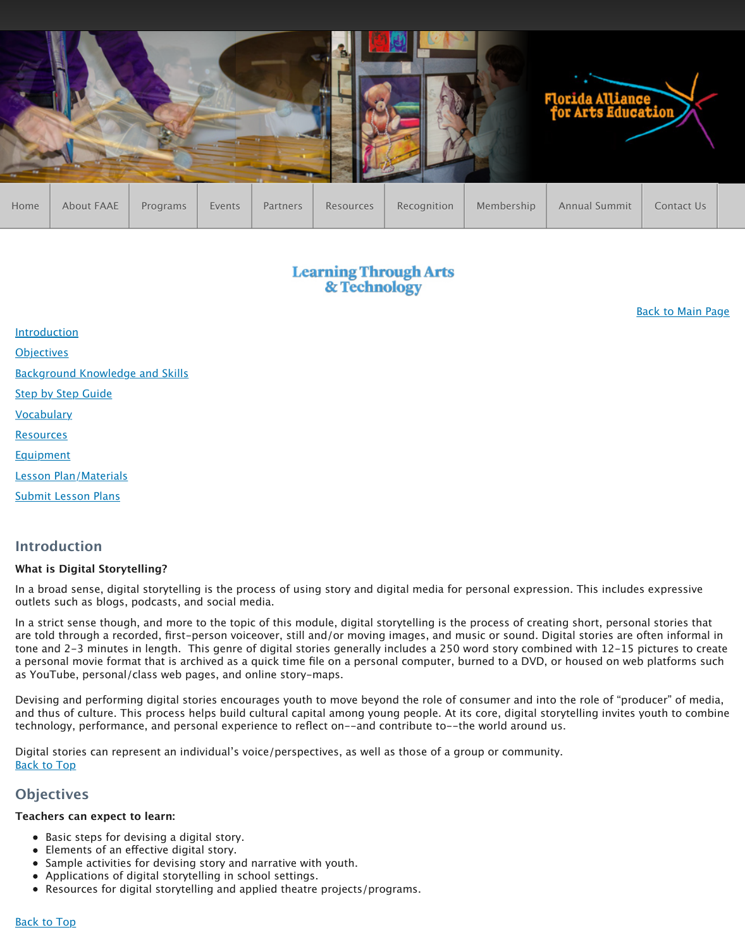**Objectives** Background Knowledge and Skills Step by Step Guide **Vocabulary** Resources Equipment Lesson Plan/Materials Submit Lesson Plans

## **[Introd](http://www.faae.org/)uction**

### **What is Digital Storytelling?**

In a broad sense, digital storytelling is the process of using story and digital media for outlets such as blogs, podcasts, and social media.

In a strict sense though, and more to the topic of this module, digital storytelling is the are told through a recorded, first-person voiceover, still and/or moving images, and m tone and 2-3 minutes in length. This genre of digital stories generally includes a 250 w a personal movie format that is archived as a quick time file on a personal computer, b [as YouTube,](http://www.faae.org/learning-through-arts-and-technology-digital-storytelling#a1) personal/class web pages, and online story-maps.

[Devising an](http://www.faae.org/learning-through-arts-and-technology-digital-storytelling#a2)d performing digital stories encourages youth to move beyond the role of consumer and into the role of consumer and into the role of consumer and into the role of consumer and into the role of consumer and media [and thus of culture. This process h](http://www.faae.org/learning-through-arts-and-technology-digital-storytelling#a3)elps build cultural capital among young people. At it technology, performance, and personal experience to reflect on--and contribute to--tl

Digital stories can represent an individual's voice/perspectives, as well as those of a group [Back to Top](http://www.faae.org/learning-through-arts-and-technology-digital-storytelling#a6)

## **[Objectiv](http://www.faae.org/learning-through-arts-and-technology-digital-storytelling#a8)es**

### **[Teachers can expect](http://www.faae.org/learning-through-arts-and-technology-digital-storytelling#a9) to learn:**

- [Basic steps for](http://www.faae.org/learning-through-arts-and-technology-digital-storytelling#ab) devising a digital story.
- Elements of an efective digital story.
- Sample activities for devising story and narrative with youth.
- Applications of digital storytelling in school settings.
- Resources for digital storytelling and applied theatre projects/programs.

#### **Back to Top**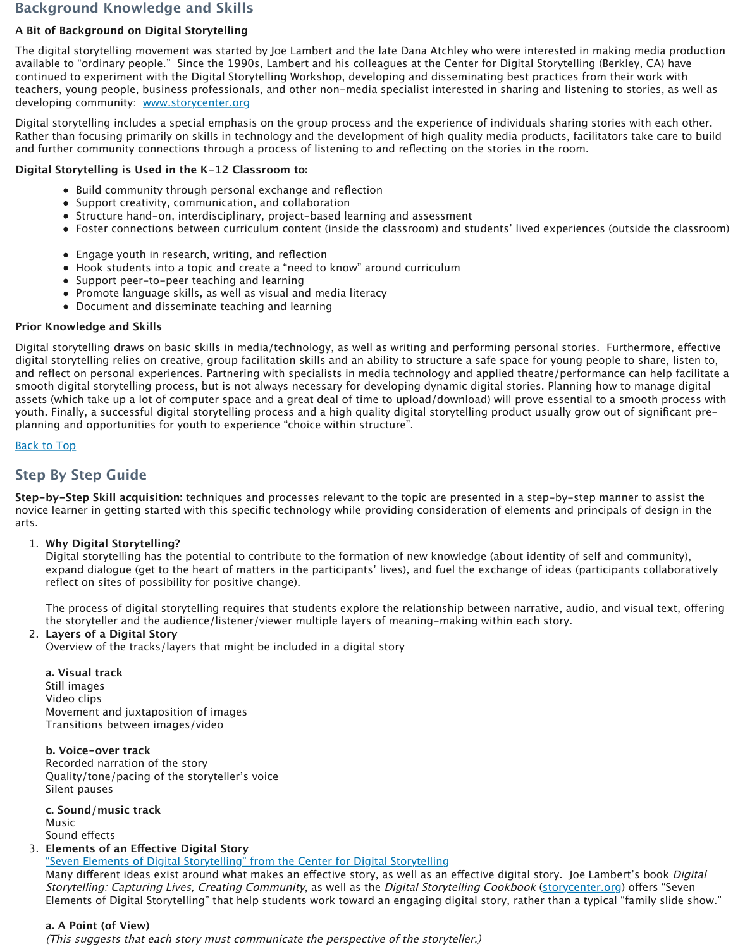Digital storytelling draws on basic skills in media/technology, as well as writing and performing personal stories. Furthermore, efective digital storytelling relies on creative, group facilitation skills and an ability to structure and reflect on personal experiences. Partnering with specialists in media technology an smooth digital storytelling process, but is not always necessary for developing dynamic assets (which take up a lot of computer space and a great deal of time to upload/down youth. Finally, a successful digital storytelling process and a high quality digital storyte planning and opportunities for youth to experience "choice within structure".

**Back to Top** 

# **Step By Step Guide**

**Step-by-Step Skill acquisition:** techniques and processes relevant to the topic are pre novice learner in getting started with this specific technology while providing consideration of elements and p arts.

#### 1. **Why Digital Storytelling?**

Digital storytelling has the potential to contribute to the formation of new knowledge identity. expand dialogue (get to the heart of matters in the participants' lives), and fuel the reflect on sites of possibility for positive change).

The process of digital storytelling requires that students explore the relationship the storyteller and the audience/listener/viewer multiple layers of meaning-maki

#### 2. **Layers of a Digital Story**

Overview of the tracks/layers that might be included in a digital story

#### **a. Visual track**

Still images Video clips Movement and juxtaposition of images Transitions between images/video

#### **b. Voice-over track**

Recorded narration of the story Quality/tone/pacing of the storyteller's voice [Silent](http://www.faae.org/learning-through-arts-and-technology-digital-storytelling#at) pauses

**c. Sound/music track** Music Sound efects

#### 3. **Elements of an Efective Digital Story**

"Seven Elements of Digital Storytelling" from the Center for Digital Storytelling Many different ideas exist around what makes an effective story, as well as an eff Storytelling: Capturing Lives, Creating Community, as well as the Digital Storytell Elements of Digital Storytelling" that help students work toward an engaging digital

#### **a. A Point (of View)**

(This suggests that each story must communicate the perspective of the storytell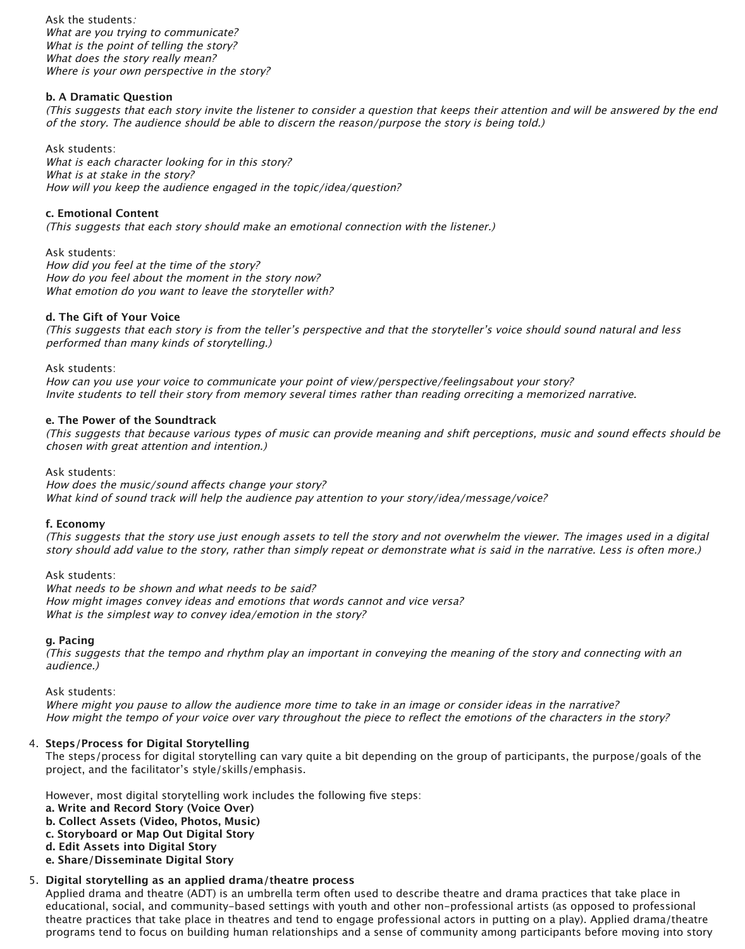Ask the students: What are you trying to communicate? What is the point of telling the story? What does the story really mean? Where is your own perspective in the story?

#### **b. A Dramatic Question**

(This suggests that each story invite the listener to consider a question that keeps their attention and will be answered by the end of the story. The audience should be able to discern the reason/purpose the story is being told.)

Ask students: How did you feel at the time of the story? How do you feel about the moment in the story now? What emotion do you want to leave the storyteller with?

Ask students: What is each character looking for in this story? What is at stake in the story? How will you keep the audience engaged in the topic/idea/question?

#### **c. Emotional Content**

(This suggests that each story should make an emotional connection with the listener.)

#### **d. The Gift of Your Voice**

(This suggests that each story is from the teller's perspective and that the storyteller's voice should sound natural and less performed than many kinds of storytelling.)

Ask students:

How can you use your voice to communicate your point of view/perspective/feelingsabout your story? Invite students to tell their story from memory several times rather than reading orreciting a memorized narrative.

#### **e. The Power of the Soundtrack**

(This suggests that because various types of music can provide meaning and shift perceptions, music and sound efects should be chosen with great attention and intention.)

Ask students: How does the music/sound affects change your story? What kind of sound track will help the audience pay attention to your story/idea/message/voice?

#### **f. Economy**

(This suggests that the story use just enough assets to tell the story and not overwhelm the viewer. The images used in a digital story should add value to the story, rather than simply repeat or demonstrate what is said in the narrative. Less is often more.)

Ask students:

What needs to be shown and what needs to be said? How might images convey ideas and emotions that words cannot and vice versa? What is the simplest way to convey idea/emotion in the story?

#### **g. Pacing**

(This suggests that the tempo and rhythm play an important in conveying the meaning of the story and connecting with an audience.)

Ask students:

Where might you pause to allow the audience more time to take in an image or consider ideas in the narrative? How might the tempo of your voice over vary throughout the piece to reflect the emotions of the characters in the story?

#### 4. **Steps/Process for Digital Storytelling**

The steps/process for digital storytelling can vary quite a bit depending on the group of participants, the purpose/goals of the project, and the facilitator's style/skills/emphasis.

However, most digital storytelling work includes the following five steps: **a. Write and Record Story (Voice Over) b. Collect Assets (Video, Photos, Music) c. Storyboard or Map Out Digital Story d. Edit Assets into Digital Story e. Share/Disseminate Digital Story**

#### 5. **Digital storytelling as an applied drama/theatre process**

Applied drama and theatre (ADT) is an umbrella term often used to describe theatre and drama practices that take place in educational, social, and community-based settings with youth and other non-professional artists (as opposed to professional theatre practices that take place in theatres and tend to engage professional actors in putting on a play). Applied drama/theatre programs tend to focus on building human relationships and a sense of community among participants before moving into story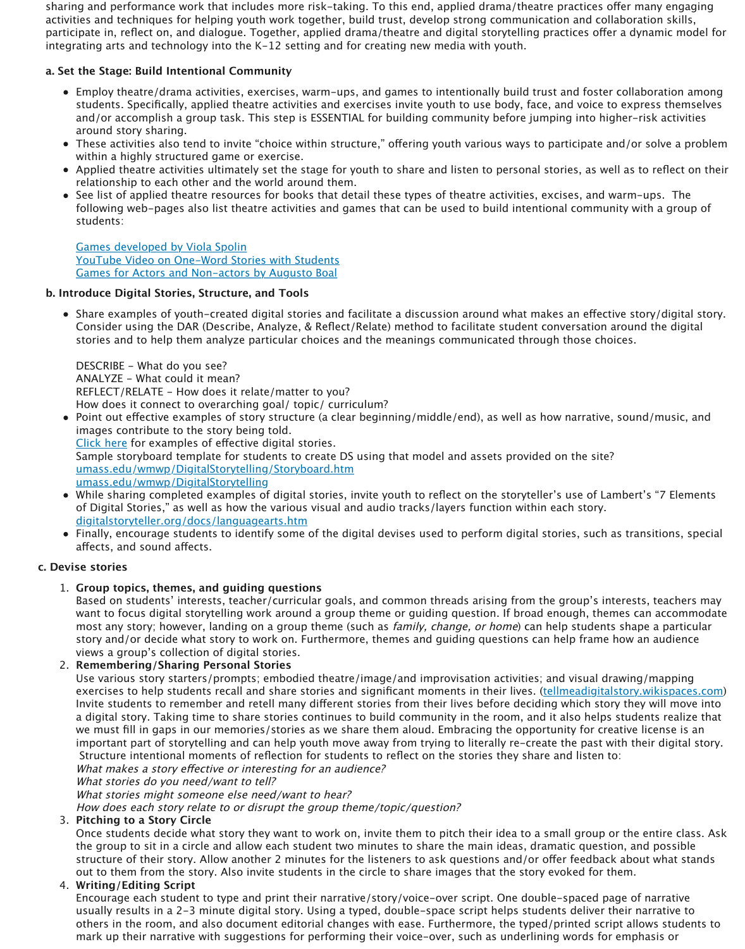DESCRIBE - What do you see? ANALYZE - What could it mean? REFLECT/RELATE - How does it relate/matter to you? How does it connect to overarching goal/ topic/ curriculum?

- Point out effective examples of story structure (a clear beginning/middle/end images contribute to the story being told. Click here for examples of efective digital stories. Sample storyboard template for students to create DS using that model and umass.edu/wmwp/DigitalStorytelling/Storyboard.htm umass.edu/wmwp/DigitalStorytelling
- While sharing completed examples of digital stories, invite youth to reflect of Digital Stories," as well as how the various visual and audio tracks/layers digitalstoryteller.org/docs/languagearts.htm
- Finally, encourage students to identify some of the digital devises used to perform and transitions, such as afects, and sound afects.

#### **c. Devise stories**

#### 1. **[Group topics, themes, and guid](http://www.spolin.com/games.html)ing questions**

[Based on students' interests, teacher/curricular goa](http://www.youtube.com/watch?v=F_QUEswE0QI)ls, and common threads [want to focus digital storytelling work around a gro](http://books.google.com/books?id=8HrjxwGFjJcC&printsec=frontcover&dq=games+for+actors+and+non+actors&hl=en&ei=Hdv0TaXUOoftwen4riQBw&sa=X&oi=book_result&ct=bookthumbnail&resnum=1&ved=0CCwQ6wEwAA%20-%20v=onepage&q&f=false)up theme or guiding question. If  $\alpha$ most any story; however, landing on a group theme (such as *family, change* story and/or decide what story to work on. Furthermore, themes and guidir views a group's collection of digital stories.

#### 2. **Remembering/Sharing Personal Stories**

Use various story starters/prompts; embodied theatre/image/and improvis exercises to help students recall and share stories and significant moments Invite students to remember and retell many different stories from their live a digital story. Taking time to share stories continues to build community in we must fill in gaps in our memories/stories as we share them aloud. Embr important part of storytelling and can help youth move away from trying to Structure intentional moments of reflection for students to reflect on the stories the What makes a story effective or interesting for an audience? What stories do you need/want to tell?

[What](http://www.storycenter.org/stories/index.php?cat=5) [stori](http://www.storycenter.org/stories/index.php?cat=5)es might someone else need/want to hear?

[How does each story relate to or disrupt the group theme/topic/question?](http://www.umass.edu/wmwp/DigitalStorytelling/Storyboard.htm)

#### 3. **Pitching to a Story Circle**

[Once students decide what story they want to work on, i](http://www.umass.edu/wmwp/DigitalStorytelling/How%20to%20Create%20a%20digital%20story.htm)nvite them to pitch the group to sit in a circle and allow each student two minutes to share the structure of their story. Allow another 2 minutes for the listeners to ask questions and  $\alpha$ [out to them from the story. Also invite studen](http://www.digitalstoryteller.org/docs/languagearts.htm)ts in the circle to share image

#### 4. **Writing/Editing Script**

Encourage each student to type and print their narrative/story/voice-over s usually results in a 2-3 minute digital story. Using a typed, double-space s others in the room, and also document editorial changes with ease. Further mark up their narrative with suggestions for performing their voice-over, so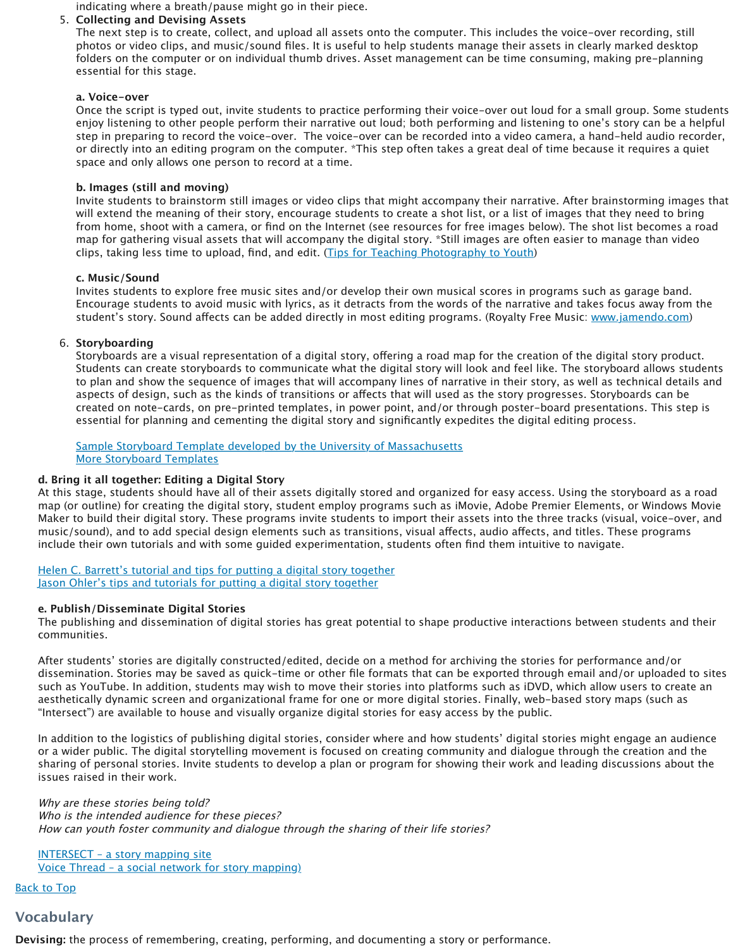#### 6. **Storyboarding**

Storyboards are a visual representation of a digital story, offering a road ma Students can create storyboards to communicate what the digital story will to plan and show the sequence of images that will accompany lines of narrative in the story, and their story, and aspects of design, such as the kinds of transitions or affects that will used as created on note-cards, on pre-printed templates, in power point, and/or th essential for planning and cementing the digital story and significantly expendient

Sample Storyboard Template developed by the University of Massachusetts More Storyboard Templates

#### **d. Bring it all together: Editing a Digital Story**

At this stage, students should have all of their assets digitally stored and organized map (or outline) for creating the digital story, student employ programs such as iM Maker to build their digital story. These programs invite students to import their as music/sound), and to add special design elements such as transitions, visual affect include their own tutorials and with some guided experimentation, students often

Helen C. Barrett's tutorial and tips for putting a digital story together Jason Ohler's tips and tutorials for putting a digital story together

#### **e. Publish/Disseminate Digital Stories**

The publishing and dissemination of digital stories has great potential to shape productions between students and their students and the productions and the productions and the productions and the productions and the stude communities.

After students' stories are digitally constructed/edited, decide on a method for archiving the stories are digitally constructed decide and method for and dissemination. Stories may be saved as quick-time or other file formats that can be such as YouTube. In addition, students may wish to move their stories into platfor aesthetically dynamic screen and organizational frame for one or more digital stori "Intersect") are available to house and visually organize digital stories for easy acce

In addition to the logistics of publishing digital stories, consider where and how st or a wider public. The digital storytelling movement is focused on creating community and dialogue the creation sharing of personal stories. Invite students to develop a plan or program for showing their work and leading their work and leading discussions about the showing discussions about the showing discussions about the showing issues raised in their work.

Why are these stories being told? Who is the intended audience for these pieces? How can youth foster community and dialogue through the sharing of their life sto

INTERSECT – a story mapping site Voice Thread – a social network for story mapping)

**Back to Top** 

### **Vo[cabulary](http://electronicportfolios.com/digistory/howto.html)**

**Devising:** the process of remembering, creating, performing, and documenting a story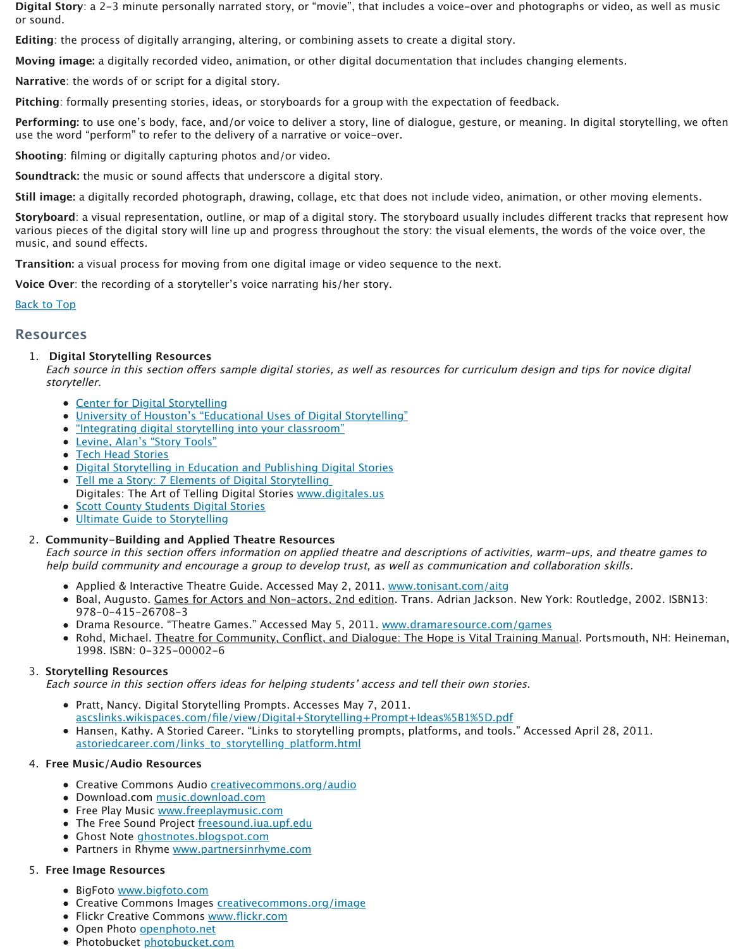### 1. **Digital Storytelling Resources**

Each source in this section offers sample digital stories, as well as resources for d storyteller.

- Center for Digital Storytelling
- University of Houston's "Educational Uses of Digital Storytelling"
- "Integrating digital storytelling into your classroom"
- Levine, Alan's "Story Tools"
- Tech Head Stories
- **Digital Storytelling in Education and Publishing Digital Stories**
- Tell me a Story: 7 Elements of Digital Storytelling Digitales: The Art of Telling Digital Stories www.digitales.us
- **Scott County Students Digital Stories**
- Ultimate Guide to Storytelling

### 2. **Community-Building and Applied Theatre Resources**

Each source in this section offers information on applied theatre and descriptions help build community and encourage a group to develop trust, as well as commu

- Applied & Interactive Theatre Guide. Accessed May 2, 2011. www.tonisant.com
- Boal, Augusto. Games for Actors and Non-actors, 2nd edition. Trans. Adria 978-0-415-26708-3
- Drama Resource. "Theatre Games." Accessed May 5, 2011. www.dramaresource.
- Rohd, Michael. Theatre for Community, Conflict, and Dialogue: The Hope is [1](http://www.faae.org/learning-through-arts-and-technology-digital-storytelling#at)998. ISBN: 0-325-00002-6

### 3. **Storytelling Resources**

Each source in this section offers ideas for helping students' access and tell their

- Pratt, Nancy. Digital Storytelling Prompts. Accesses May 7, 2011. ascslinks.wikispaces.com/file/view/Digital+Storytelling+Prompt+Ideas%5B
- Hansen, Kathy. A Storied Career. "Links to storytelling prompts, platforms, [astoriedcareer.com/links\\_to\\_s](http://www.storycenter.org/)torytelling\_platform.html

#### 4. **Free [Music/Audio Resources](http://digitalstorytelling.coe.uh.edu/powerpoint.html)**

- Creative Commons Audio **cr[eativecommons.org/aud](http://its.ksbe.edu/dst/)io**
- · [Download.com mu](http://www.tech-head.com/dstory.htm)sic.download.com
- [Free Play Music www.freeplaymusic.com](http://electronicportfolios.org/digistory/index.html)
- [The Free Sound Project freesound.iua.upf.edu](http://atr.k12.hi.us/tutorials/tutorials/digstory/elements.htm)
- Ghost Note ghostnotes.blogspot.com
- [Partners in Rhyme www.partnersinrhy](http://www.dtc.scott.k12.ky.us/technology/digitalstorytelling/studentstories.html)me.c[om](http://www.digitales.us/)

#### 5. **Free [Image Resources](http://www.freebooknotes.com/storytelling-guide/)**

- BigFoto www.bigfoto.com
- Creative Commons Images creativecommons.org/image
- Flickr Creative Commons www.flickr.com
- Open Photo openphoto.net
- Photobucket photobucket.com